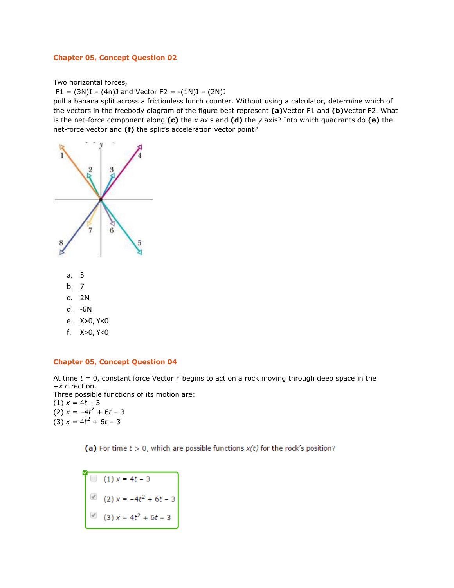#### **Chapter 05, Concept Question 02**

Two horizontal forces,

 $F1 = (3N)I - (4n)J$  and Vector  $F2 = -(1N)I - (2N)J$ 

pull a banana split across a frictionless lunch counter. Without using a calculator, determine which of the vectors in the freebody diagram of the figure best represent **(a)**Vector F1 and **(b)**Vector F2. What is the net-force component along **(c)** the *x* axis and **(d)** the *y* axis? Into which quadrants do **(e)** the net-force vector and **(f)** the split's acceleration vector point?



- c. 2N
- d. -6N
- e. X>0, Y<0
- f. X>0, Y<0

#### **Chapter 05, Concept Question 04**

At time *t* = 0, constant force Vector F begins to act on a rock moving through deep space in the +*x* direction.

Three possible functions of its motion are: (1) *x* = 4*t* – 3  $(2) x = -4t^2 + 6t - 3$  $(3) x = 4t^2 + 6t - 3$ 

(a) For time  $t > 0$ , which are possible functions  $x(t)$  for the rock's position?

 $(1) x = 4t - 3$ (2)  $x = -4t^2 + 6t - 3$ <br>(3)  $x = 4t^2 + 6t - 3$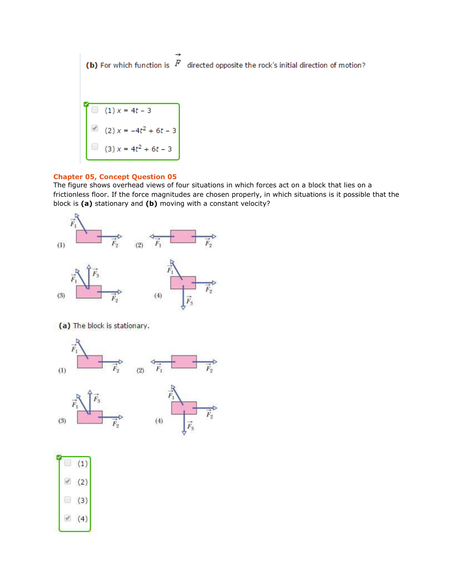(b) For which function is  $|F|$  directed opposite the rock's initial direction of motion?

(a) 
$$
(1) x = 4t - 3
$$
  
(b)  $(2) x = -4t^2 + 6t - 3$   
(c)  $(3) x = 4t^2 + 6t - 3$ 

#### **Chapter 05, Concept Question 05**

The figure shows overhead views of four situations in which forces act on a block that lies on a frictionless floor. If the force magnitudes are chosen properly, in which situations is it possible that the block is **(a)** stationary and **(b)** moving with a constant velocity?



(a) The block is stationary.

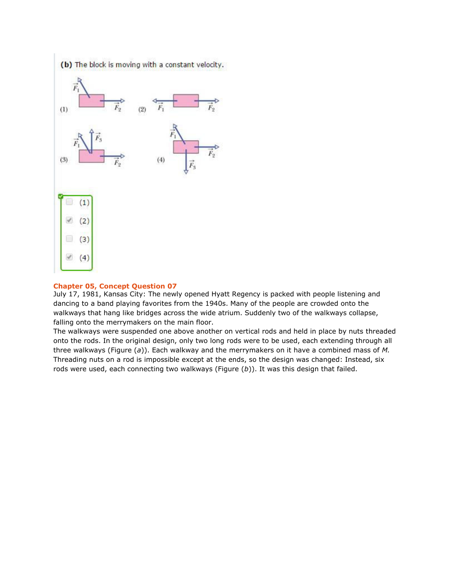

#### **Chapter 05, Concept Question 07**

July 17, 1981, Kansas City: The newly opened Hyatt Regency is packed with people listening and dancing to a band playing favorites from the 1940s. Many of the people are crowded onto the walkways that hang like bridges across the wide atrium. Suddenly two of the walkways collapse, falling onto the merrymakers on the main floor.

The walkways were suspended one above another on vertical rods and held in place by nuts threaded onto the rods. In the original design, only two long rods were to be used, each extending through all three walkways (Figure (*a*)). Each walkway and the merrymakers on it have a combined mass of *M.* Threading nuts on a rod is impossible except at the ends, so the design was changed: Instead, six rods were used, each connecting two walkways (Figure (*b*)). It was this design that failed.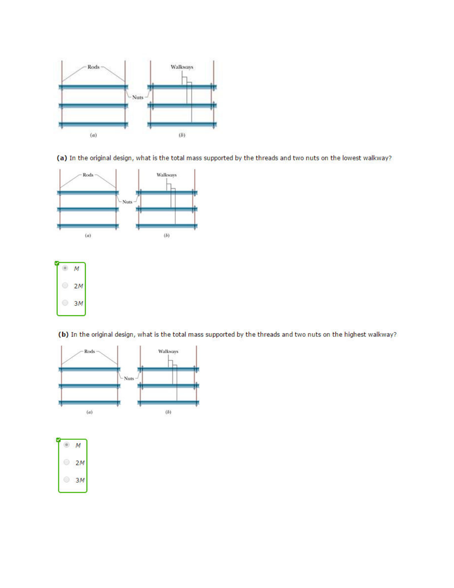

(a) In the original design, what is the total mass supported by the threads and two nuts on the lowest walkway?





(b) In the original design, what is the total mass supported by the threads and two nuts on the highest walkway?



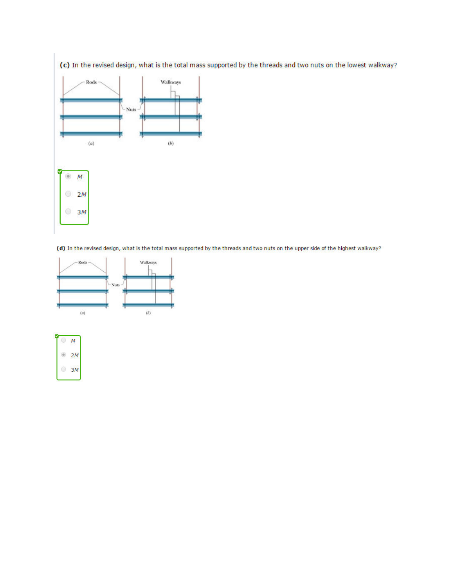

(d) In the revised design, what is the total mass supported by the threads and two nuts on the upper side of the highest walkway?



|   | ٠       |
|---|---------|
| w | a.<br>٠ |
| ۷ |         |

(c) In the revised design, what is the total mass supported by the threads and two nuts on the lowest walkway?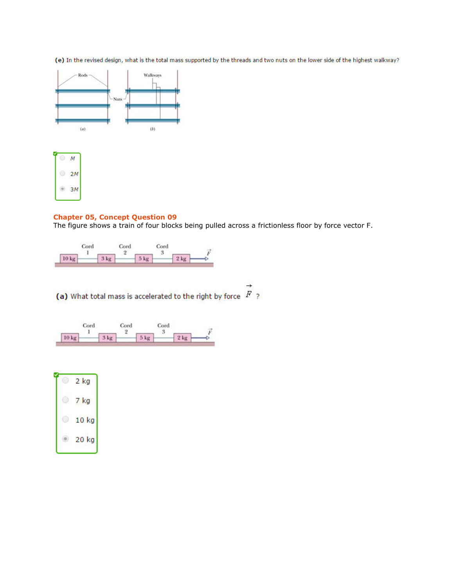(e) In the revised design, what is the total mass supported by the threads and two nuts on the lower side of the highest walkway?





### **Chapter 05, Concept Question 09**

The figure shows a train of four blocks being pulled across a frictionless floor by force vector F.

|       | Cord | Cord   |        | Cord   |        |  |
|-------|------|--------|--------|--------|--------|--|
| 10 kg |      | $3$ kg | $5$ kg | $\sim$ | $2$ kg |  |

 $\rightarrow$ (a) What total mass is accelerated to the right by force  $\overline{F}$  ?

|       | Cord |        | Cord |        | Cord |        |  |
|-------|------|--------|------|--------|------|--------|--|
| 10 kg |      | $3$ kg |      | $5$ kg | u    | $2$ kg |  |

| 2 kg  |
|-------|
| 7 kg  |
| 10 kg |
| 20 kg |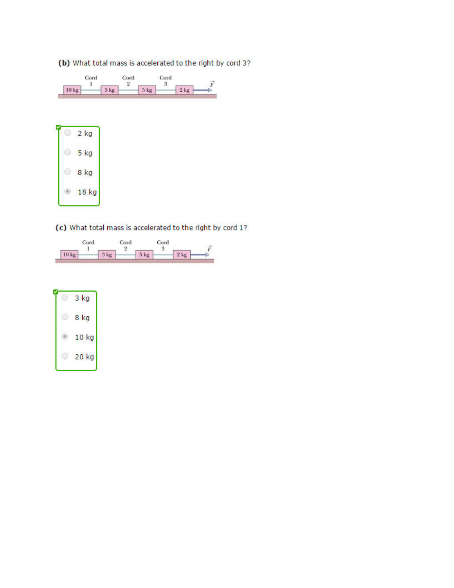# (b) What total mass is accelerated to the right by cord 3?



| $2$ kg          |
|-----------------|
| 5 <sub>kg</sub> |
| 8 kg            |
| 18 kg           |

# (c) What total mass is accelerated to the right by cord 1?

|                  | Cord |        | Cord |        | Cord |        |   |
|------------------|------|--------|------|--------|------|--------|---|
|                  |      |        |      |        |      |        | ÷ |
| 10 <sub>kg</sub> |      | $3$ kg |      | $5$ kg |      | $2$ kg |   |

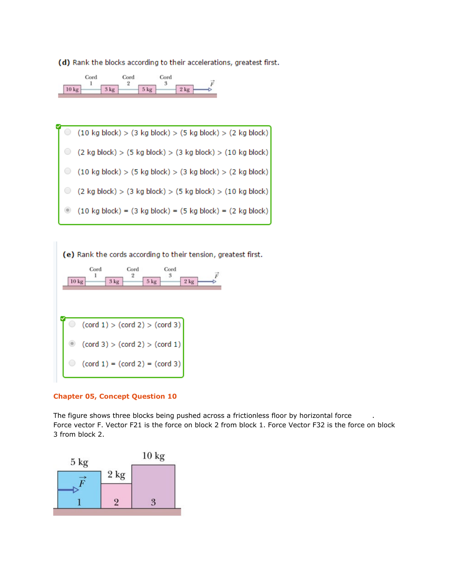(d) Rank the blocks according to their accelerations, greatest first.



 $(10 \text{ kg block}) > (3 \text{ kg block}) > (5 \text{ kg block}) > (2 \text{ kg block})$ 0.  $\circ$  $(2 \text{ kg block}) > (5 \text{ kg block}) > (3 \text{ kg block}) > (10 \text{ kg block})$  $\circ$  $(10 \text{ kg block}) > (5 \text{ kg block}) > (3 \text{ kg block}) > (2 \text{ kg block})$  $\circ$  (2 kg block) > (3 kg block) > (5 kg block) > (10 kg block)  $\circledcirc$  $(10 \text{ kg block}) = (3 \text{ kg block}) = (5 \text{ kg block}) = (2 \text{ kg block})$ 

(e) Rank the cords according to their tension, greatest first. Cord Cord Cord 1  $\overline{2}$ 3  $10 \text{ kg}$  $3$  kg  $5$  kg  $2$  kg  $(cord 1) > (cord 2) > (cord 3)$  $(cord 3) > (cord 2) > (cord 1)$  $\bigcirc$  $(cord 1) = (cord 2) = (cord 3)$ 

## **Chapter 05, Concept Question 10**

The figure shows three blocks being pushed across a frictionless floor by horizontal force Force vector F. Vector F21 is the force on block 2 from block 1. Force Vector F32 is the force on block 3 from block 2.

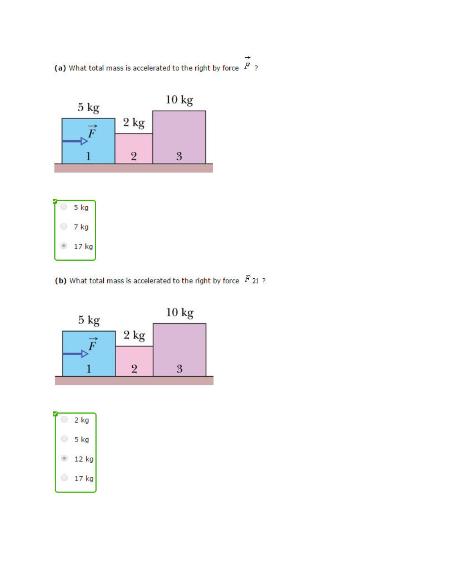(a) What total mass is accelerated to the right by force  $\overrightarrow{F}$  ?



| ïā |
|----|
| kg |

(b) What total mass is accelerated to the right by force  $\overline{F}$  21 ?



| kg      |
|---------|
| 5 kg    |
| $12$ kg |
| kg      |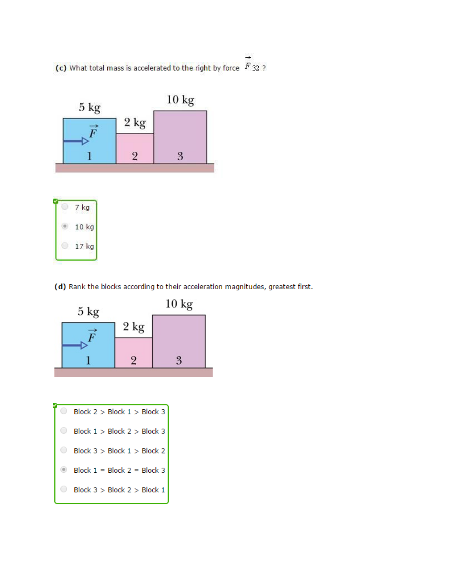(c) What total mass is accelerated to the right by force  $\overrightarrow{F}$  32.2



(d) Rank the blocks according to their acceleration magnitudes, greatest first.



| Block $2 >$ Block $1 >$ Block 3   |
|-----------------------------------|
| Block $1 >$ Block $2 >$ Block 3   |
| Block $3 >$ Block $1 >$ Block 2   |
| Block $1 = Block 2 = Block 3$     |
| Block $3 >$ Block $2 >$ Block $1$ |